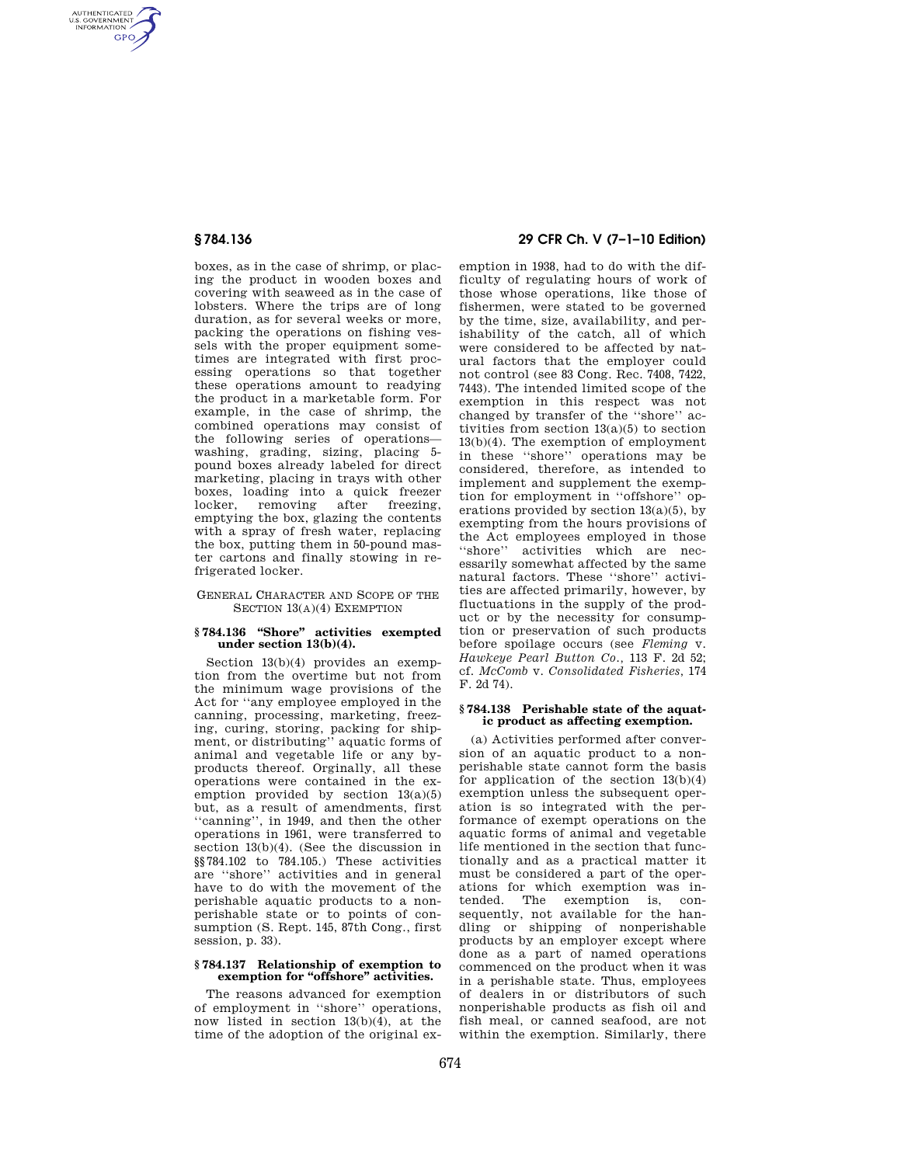AUTHENTICATED<br>U.S. GOVERNMENT<br>INFORMATION **GPO** 

> boxes, as in the case of shrimp, or placing the product in wooden boxes and covering with seaweed as in the case of lobsters. Where the trips are of long duration, as for several weeks or more, packing the operations on fishing vessels with the proper equipment sometimes are integrated with first processing operations so that together these operations amount to readying the product in a marketable form. For example, in the case of shrimp, the combined operations may consist of the following series of operations washing, grading, sizing, placing 5pound boxes already labeled for direct marketing, placing in trays with other boxes, loading into a quick freezer<br>locker, removing after freezing, locker, removing after freezing, emptying the box, glazing the contents with a spray of fresh water, replacing the box, putting them in 50-pound master cartons and finally stowing in refrigerated locker.

# GENERAL CHARACTER AND SCOPE OF THE SECTION 13(A)(4) EXEMPTION

## **§ 784.136 ''Shore'' activities exempted under section 13(b)(4).**

Section 13(b)(4) provides an exemption from the overtime but not from the minimum wage provisions of the Act for ''any employee employed in the canning, processing, marketing, freezing, curing, storing, packing for shipment, or distributing'' aquatic forms of animal and vegetable life or any byproducts thereof. Orginally, all these operations were contained in the exemption provided by section  $13(a)(5)$ but, as a result of amendments, first ''canning'', in 1949, and then the other operations in 1961, were transferred to section 13(b)(4). (See the discussion in §§784.102 to 784.105.) These activities are ''shore'' activities and in general have to do with the movement of the perishable aquatic products to a nonperishable state or to points of consumption (S. Rept. 145, 87th Cong., first session, p. 33).

# **§ 784.137 Relationship of exemption to exemption for ''offshore'' activities.**

The reasons advanced for exemption of employment in ''shore'' operations, now listed in section  $13(b)(4)$ , at the time of the adoption of the original ex-

# **§ 784.136 29 CFR Ch. V (7–1–10 Edition)**

emption in 1938, had to do with the difficulty of regulating hours of work of those whose operations, like those of fishermen, were stated to be governed by the time, size, availability, and perishability of the catch, all of which were considered to be affected by natural factors that the employer could not control (see 83 Cong. Rec. 7408, 7422, 7443). The intended limited scope of the exemption in this respect was not changed by transfer of the ''shore'' activities from section 13(a)(5) to section 13(b)(4). The exemption of employment in these ''shore'' operations may be considered, therefore, as intended to implement and supplement the exemption for employment in ''offshore'' operations provided by section 13(a)(5), by exempting from the hours provisions of the Act employees employed in those ''shore'' activities which are necessarily somewhat affected by the same natural factors. These ''shore'' activities are affected primarily, however, by fluctuations in the supply of the product or by the necessity for consumption or preservation of such products before spoilage occurs (see *Fleming* v. *Hawkeye Pearl Button Co.,* 113 F. 2d 52; cf. *McComb* v. *Consolidated Fisheries,* 174 F. 2d 74).

## **§ 784.138 Perishable state of the aquatic product as affecting exemption.**

(a) Activities performed after conversion of an aquatic product to a nonperishable state cannot form the basis for application of the section  $13(b)(4)$ exemption unless the subsequent operation is so integrated with the performance of exempt operations on the aquatic forms of animal and vegetable life mentioned in the section that functionally and as a practical matter it must be considered a part of the operations for which exemption was intended. The exemption is, consequently, not available for the handling or shipping of nonperishable products by an employer except where done as a part of named operations commenced on the product when it was in a perishable state. Thus, employees of dealers in or distributors of such nonperishable products as fish oil and fish meal, or canned seafood, are not within the exemption. Similarly, there